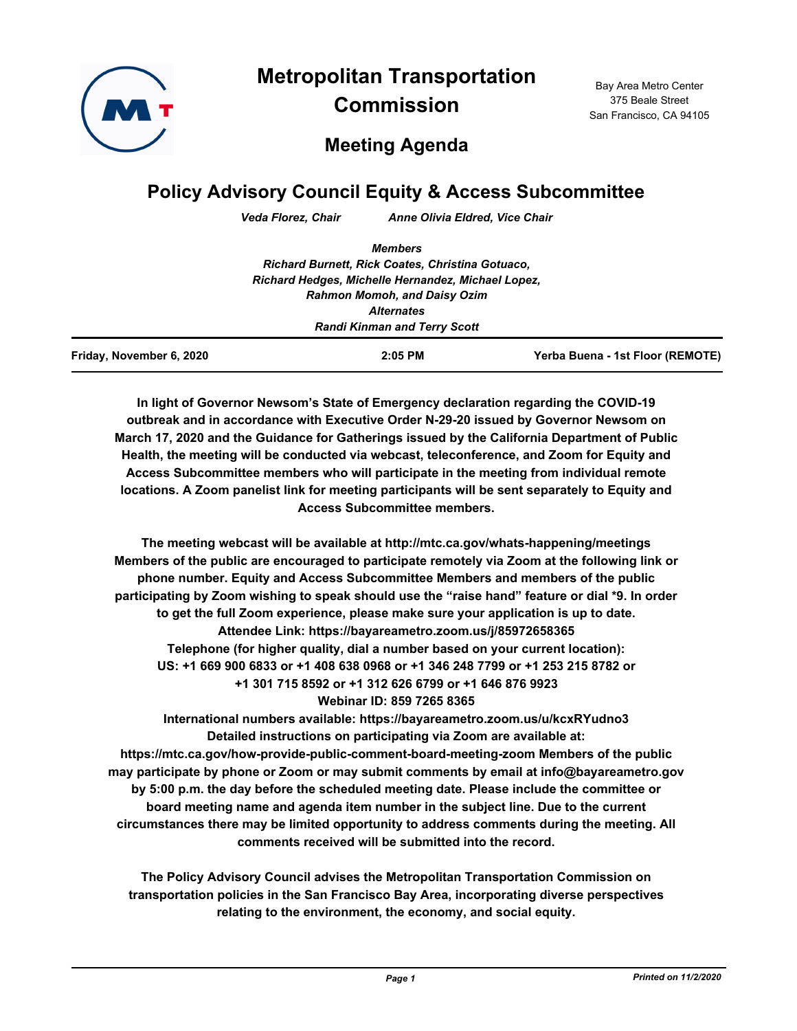

**Metropolitan Transportation Commission**

Bay Area Metro Center 375 Beale Street San Francisco, CA 94105

# **Meeting Agenda**

# **Policy Advisory Council Equity & Access Subcommittee**

*Veda Florez, Chair Anne Olivia Eldred, Vice Chair*

| Friday, November 6, 2020 | $2:05$ PM                                          | Yerba Buena - 1st Floor (REMOTE) |
|--------------------------|----------------------------------------------------|----------------------------------|
|                          | <b>Randi Kinman and Terry Scott</b>                |                                  |
|                          | <b>Alternates</b>                                  |                                  |
|                          | <b>Rahmon Momoh, and Daisy Ozim</b>                |                                  |
|                          | Richard Hedges, Michelle Hernandez, Michael Lopez, |                                  |
|                          | Richard Burnett, Rick Coates, Christina Gotuaco,   |                                  |
|                          | <b>Members</b>                                     |                                  |

**In light of Governor Newsom's State of Emergency declaration regarding the COVID-19 outbreak and in accordance with Executive Order N-29-20 issued by Governor Newsom on March 17, 2020 and the Guidance for Gatherings issued by the California Department of Public Health, the meeting will be conducted via webcast, teleconference, and Zoom for Equity and Access Subcommittee members who will participate in the meeting from individual remote locations. A Zoom panelist link for meeting participants will be sent separately to Equity and Access Subcommittee members.**

**The meeting webcast will be available at http://mtc.ca.gov/whats-happening/meetings Members of the public are encouraged to participate remotely via Zoom at the following link or phone number. Equity and Access Subcommittee Members and members of the public participating by Zoom wishing to speak should use the "raise hand" feature or dial \*9. In order to get the full Zoom experience, please make sure your application is up to date. Attendee Link: https://bayareametro.zoom.us/j/85972658365 Telephone (for higher quality, dial a number based on your current location): US: +1 669 900 6833 or +1 408 638 0968 or +1 346 248 7799 or +1 253 215 8782 or +1 301 715 8592 or +1 312 626 6799 or +1 646 876 9923 Webinar ID: 859 7265 8365**

**International numbers available: https://bayareametro.zoom.us/u/kcxRYudno3 Detailed instructions on participating via Zoom are available at: https://mtc.ca.gov/how-provide-public-comment-board-meeting-zoom Members of the public may participate by phone or Zoom or may submit comments by email at info@bayareametro.gov by 5:00 p.m. the day before the scheduled meeting date. Please include the committee or board meeting name and agenda item number in the subject line. Due to the current circumstances there may be limited opportunity to address comments during the meeting. All comments received will be submitted into the record.**

**The Policy Advisory Council advises the Metropolitan Transportation Commission on transportation policies in the San Francisco Bay Area, incorporating diverse perspectives relating to the environment, the economy, and social equity.**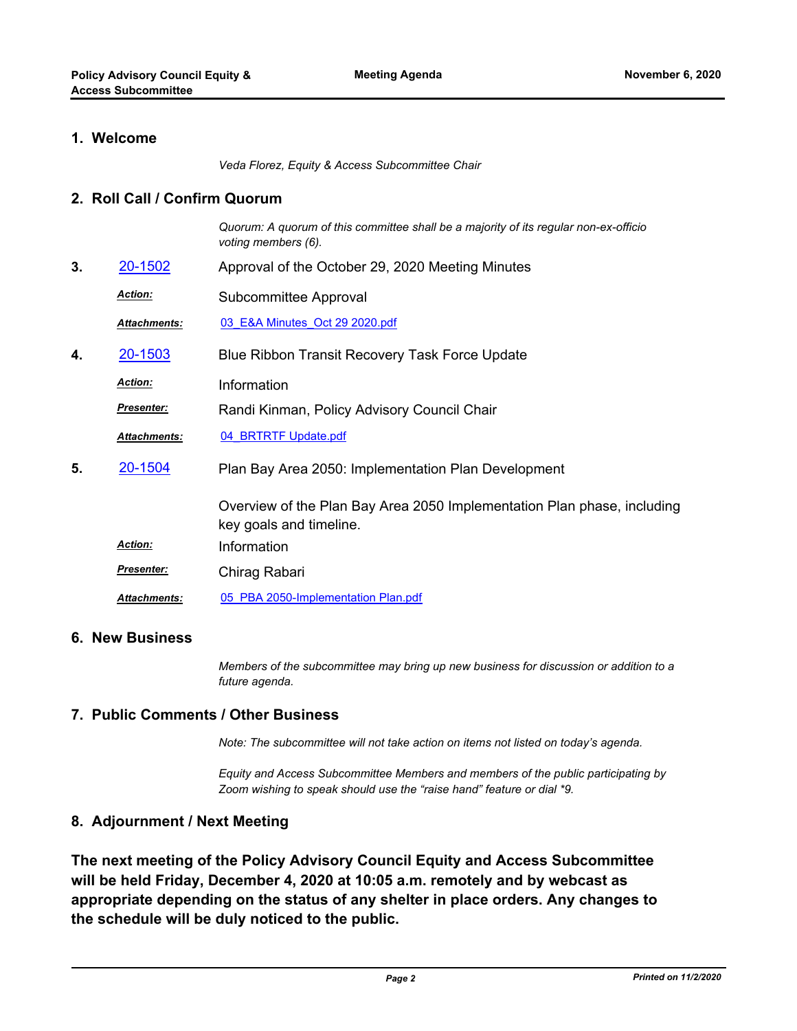# **1. Welcome**

*Veda Florez, Equity & Access Subcommittee Chair*

### **2. Roll Call / Confirm Quorum**

*Quorum: A quorum of this committee shall be a majority of its regular non-ex-officio voting members (6).*

- **3.** [20-1502](http://mtc.legistar.com/gateway.aspx?m=l&id=/matter.aspx?key=21367) Approval of the October 29, 2020 Meeting Minutes
	- Subcommittee Approval *Action:*
		- *Attachments:* [03\\_E&A Minutes\\_Oct 29 2020.pdf](http://mtc.legistar.com/gateway.aspx?M=F&ID=b3a31abc-6bc1-4097-8685-27410bb42830.pdf)
- **4.** [20-1503](http://mtc.legistar.com/gateway.aspx?m=l&id=/matter.aspx?key=21368) Blue Ribbon Transit Recovery Task Force Update
	- *Action:* Information
	- Randi Kinman, Policy Advisory Council Chair *Presenter:*
	- *Attachments:* [04\\_BRTRTF Update.pdf](http://mtc.legistar.com/gateway.aspx?M=F&ID=abeea9ea-abee-4f8f-8821-846271a15a5b.pdf)
- Plan Bay Area 2050: Implementation Plan Development **5.** [20-1504](http://mtc.legistar.com/gateway.aspx?m=l&id=/matter.aspx?key=21369)

Overview of the Plan Bay Area 2050 Implementation Plan phase, including key goals and timeline.

- *Action:* Information
- Chirag Rabari *Presenter:*

*Attachments:* [05\\_PBA 2050-Implementation Plan.pdf](http://mtc.legistar.com/gateway.aspx?M=F&ID=4b9a139d-e066-4604-b7f5-708d4c262175.pdf)

# **6. New Business**

*Members of the subcommittee may bring up new business for discussion or addition to a future agenda.*

# **7. Public Comments / Other Business**

*Note: The subcommittee will not take action on items not listed on today's agenda.*

*Equity and Access Subcommittee Members and members of the public participating by Zoom wishing to speak should use the "raise hand" feature or dial \*9.*

# **8. Adjournment / Next Meeting**

**The next meeting of the Policy Advisory Council Equity and Access Subcommittee will be held Friday, December 4, 2020 at 10:05 a.m. remotely and by webcast as appropriate depending on the status of any shelter in place orders. Any changes to the schedule will be duly noticed to the public.**